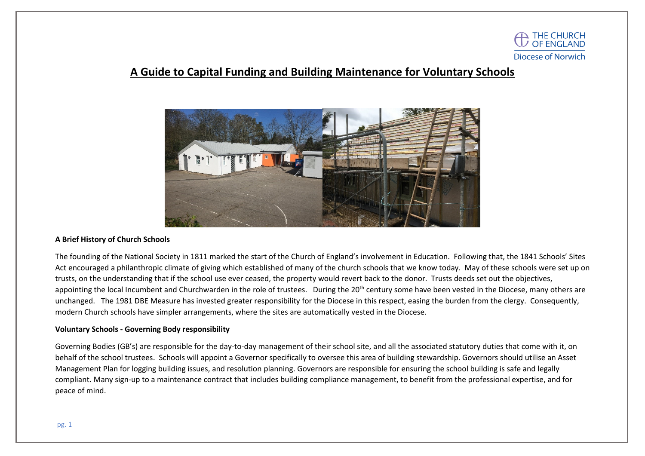

# **A Guide to Capital Funding and Building Maintenance for Voluntary Schools**



#### **A Brief History of Church Schools**

The founding of the National Society in 1811 marked the start of the Church of England's involvement in Education. Following that, the 1841 Schools' Sites Act encouraged a philanthropic climate of giving which established of many of the church schools that we know today. May of these schools were set up on trusts, on the understanding that if the school use ever ceased, the property would revert back to the donor. Trusts deeds set out the objectives, appointing the local Incumbent and Churchwarden in the role of trustees. During the 20<sup>th</sup> century some have been vested in the Diocese, many others are unchanged. The 1981 DBE Measure has invested greater responsibility for the Diocese in this respect, easing the burden from the clergy. Consequently, modern Church schools have simpler arrangements, where the sites are automatically vested in the Diocese.

#### **Voluntary Schools - Governing Body responsibility**

Governing Bodies (GB's) are responsible for the day-to-day management of their school site, and all the associated statutory duties that come with it, on behalf of the school trustees. Schools will appoint a Governor specifically to oversee this area of building stewardship. Governors should utilise an Asset Management Plan for logging building issues, and resolution planning. Governors are responsible for ensuring the school building is safe and legally compliant. Many sign-up to a maintenance contract that includes building compliance management, to benefit from the professional expertise, and for peace of mind.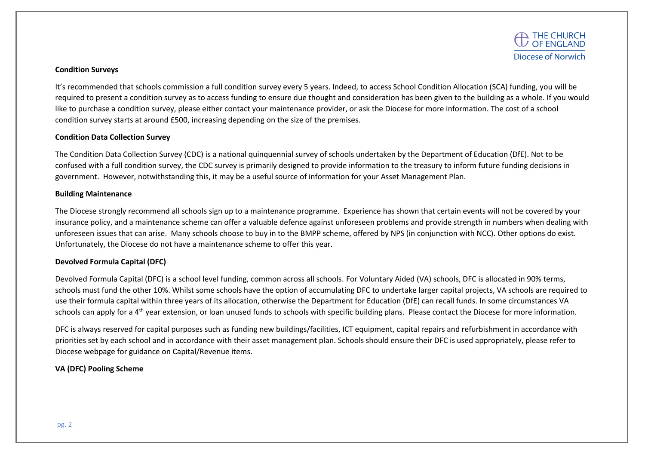

#### **Condition Surveys**

It's recommended that schools commission a full condition survey every 5 years. Indeed, to access School Condition Allocation (SCA) funding, you will be required to present a condition survey as to access funding to ensure due thought and consideration has been given to the building as a whole. If you would like to purchase a condition survey, please either contact your maintenance provider, or ask the Diocese for more information. The cost of a school condition survey starts at around £500, increasing depending on the size of the premises.

## **Condition Data Collection Survey**

The Condition Data Collection Survey (CDC) is a national quinquennial survey of schools undertaken by the Department of Education (DfE). Not to be confused with a full condition survey, the CDC survey is primarily designed to provide information to the treasury to inform future funding decisions in government. However, notwithstanding this, it may be a useful source of information for your Asset Management Plan.

#### **Building Maintenance**

The Diocese strongly recommend all schools sign up to a maintenance programme. Experience has shown that certain events will not be covered by your insurance policy, and a maintenance scheme can offer a valuable defence against unforeseen problems and provide strength in numbers when dealing with unforeseen issues that can arise. Many schools choose to buy in to the BMPP scheme, offered by NPS (in conjunction with NCC). Other options do exist. Unfortunately, the Diocese do not have a maintenance scheme to offer this year.

## **Devolved Formula Capital (DFC)**

Devolved Formula Capital (DFC) is a school level funding, common across all schools. For Voluntary Aided (VA) schools, DFC is allocated in 90% terms, schools must fund the other 10%. Whilst some schools have the option of accumulating DFC to undertake larger capital projects, VA schools are required to use their formula capital within three years of its allocation, otherwise the Department for Education (DfE) can recall funds. In some circumstances VA schools can apply for a 4<sup>th</sup> year extension, or loan unused funds to schools with specific building plans. Please contact the Diocese for more information.

DFC is always reserved for capital purposes such as funding new buildings/facilities, ICT equipment, capital repairs and refurbishment in accordance with priorities set by each school and in accordance with their asset management plan. Schools should ensure their DFC is used appropriately, please refer to Diocese webpage for guidance on Capital/Revenue items.

# **VA (DFC) Pooling Scheme**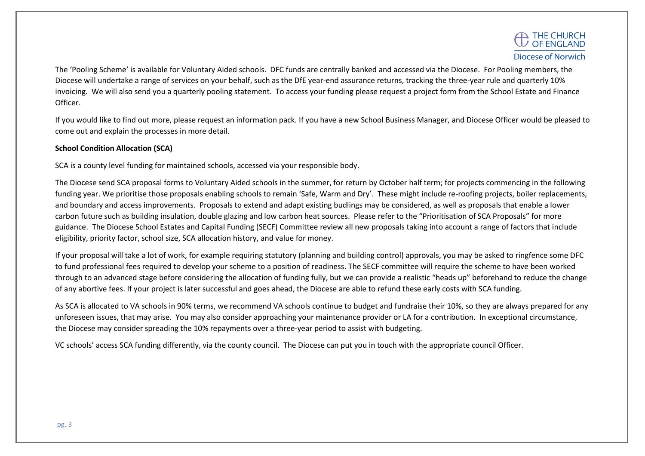The 'Pooling Scheme' is available for Voluntary Aided schools. DFC funds are centrally banked and accessed via the Diocese. For Pooling members, the Diocese will undertake a range of services on your behalf, such as the DfE year-end assurance returns, tracking the three-year rule and quarterly 10% invoicing. We will also send you a quarterly pooling statement. To access your funding please request a project form from the School Estate and Finance Officer.

If you would like to find out more, please request an information pack. If you have a new School Business Manager, and Diocese Officer would be pleased to come out and explain the processes in more detail.

# **School Condition Allocation (SCA)**

SCA is a county level funding for maintained schools, accessed via your responsible body.

The Diocese send SCA proposal forms to Voluntary Aided schools in the summer, for return by October half term; for projects commencing in the following funding year. We prioritise those proposals enabling schools to remain 'Safe, Warm and Dry'. These might include re-roofing projects, boiler replacements, and boundary and access improvements. Proposals to extend and adapt existing budlings may be considered, as well as proposals that enable a lower carbon future such as building insulation, double glazing and low carbon heat sources. Please refer to the "Prioritisation of SCA Proposals" for more guidance. The Diocese School Estates and Capital Funding (SECF) Committee review all new proposals taking into account a range of factors that include eligibility, priority factor, school size, SCA allocation history, and value for money.

If your proposal will take a lot of work, for example requiring statutory (planning and building control) approvals, you may be asked to ringfence some DFC to fund professional fees required to develop your scheme to a position of readiness. The SECF committee will require the scheme to have been worked through to an advanced stage before considering the allocation of funding fully, but we can provide a realistic "heads up" beforehand to reduce the change of any abortive fees. If your project is later successful and goes ahead, the Diocese are able to refund these early costs with SCA funding.

As SCA is allocated to VA schools in 90% terms, we recommend VA schools continue to budget and fundraise their 10%, so they are always prepared for any unforeseen issues, that may arise. You may also consider approaching your maintenance provider or LA for a contribution. In exceptional circumstance, the Diocese may consider spreading the 10% repayments over a three-year period to assist with budgeting.

VC schools' access SCA funding differently, via the county council. The Diocese can put you in touch with the appropriate council Officer.